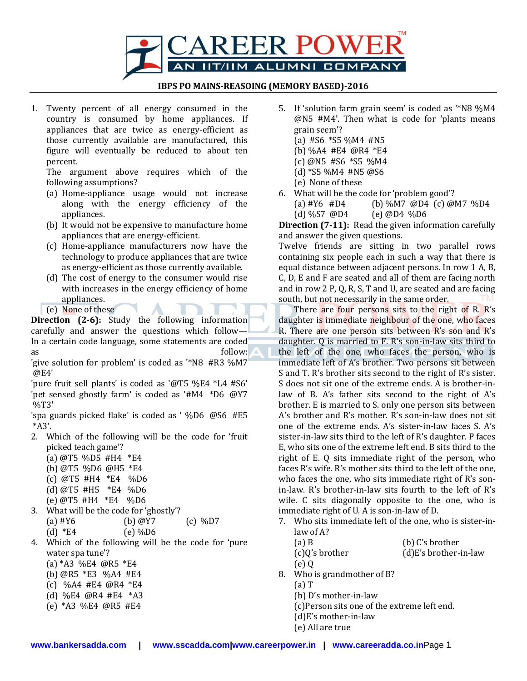

#### **IBPS PO MAINS-REASOING (MEMORY BASED)-2016**

1. Twenty percent of all energy consumed in the country is consumed by home appliances. If appliances that are twice as energy-efficient as those currently available are manufactured, this figure will eventually be reduced to about ten percent.

The argument above requires which of the following assumptions?

- (a) Home-appliance usage would not increase along with the energy efficiency of the appliances.
- (b) It would not be expensive to manufacture home appliances that are energy-efficient.
- (c) Home-appliance manufacturers now have the technology to produce appliances that are twice as energy-efficient as those currently available.
- (d) The cost of energy to the consumer would rise with increases in the energy efficiency of home appliances.
- (e) None of these

**Direction (2-6):** Study the following information carefully and answer the questions which follow— In a certain code language, some statements are coded as follow:

'give solution for problem' is coded as '\*N8 #R3 %M7 @E4'

'pure fruit sell plants' is coded as '@T5 %E4 \*L4 #S6' 'pet sensed ghostly farm' is coded as '#M4 \*D6 @Y7 %T3'

'spa guards picked flake' is coded as ' %D6 @S6 #E5 \*A3'.

- 2. Which of the following will be the code for 'fruit picked teach game'?
	- (a) @T5 %D5 #H4 \*E4 (b) @T5 %D6 @H5 \*E4 (c) @T5 #H4 \*E4 %D6 (d) @T5 #H5 \*E4 %D6
	- (e) @T5 #H4 \*E4 %D6
- 3. What will be the code for 'ghostly'? (a)  $\#Y6$  (b)  $\omega$  (c)  $\%D7$ (d)  $*E4$  (e) %D6
- 4. Which of the following will be the code for 'pure water spa tune'?
	- (a) \*A3 %E4 @R5 \*E4
	- (b) @R5 \*E3 %A4 #E4
	- (c) %A4 #E4 @R4 \*E4
	- (d) %E4 @R4 #E4 \*A3
	- (e) \*A3 %E4 @R5 #E4
- 5. If 'solution farm grain seem' is coded as '\*N8 %M4 @N5 #M4'. Then what is code for 'plants means grain seem'?
	- (a)  $#S6$  \*S5 %M4  $#NS$
	- (b) %A4 #E4 @R4 \*E4
	- (c) @N5 #S6 \*S5 %M4
	- (d)  $*$ S5 %M4 #N5 @S6
	- (e) None of these
- 6. What will be the code for 'problem good'?
	- (a) #Y6 #D4 (b) %M7 @D4 (c) @M7 %D4 (d) %S7 @D4 (e) @D4 %D6

**Direction (7-11):** Read the given information carefully and answer the given questions.

Twelve friends are sitting in two parallel rows containing six people each in such a way that there is equal distance between adjacent persons. In row 1 A, B, C, D, E and F are seated and all of them are facing north and in row 2 P, Q, R, S, T and U, are seated and are facing south, but not necessarily in the same order.

There are four persons sits to the right of R. R's daughter is immediate neighbour of the one, who faces R. There are one person sits between R's son and R's daughter. Q is married to F. R's son-in-law sits third to the left of the one, who faces the person, who is immediate left of A's brother. Two persons sit between S and T. R's brother sits second to the right of R's sister. S does not sit one of the extreme ends. A is brother-inlaw of B. A's father sits second to the right of A's brother. E is married to S. only one person sits between A's brother and R's mother. R's son-in-law does not sit one of the extreme ends. A's sister-in-law faces S. A's sister-in-law sits third to the left of R's daughter. P faces E, who sits one of the extreme left end. B sits third to the right of E. Q sits immediate right of the person, who faces R's wife. R's mother sits third to the left of the one, who faces the one, who sits immediate right of R's sonin-law. R's brother-in-law sits fourth to the left of R's wife. C sits diagonally opposite to the one, who is immediate right of U. A is son-in-law of D.

7. Who sits immediate left of the one, who is sister-inlaw of A?

| $(a)$ B        | (b) C's brother         |
|----------------|-------------------------|
| (c)Q's brother | $(d)E's brother-in-law$ |
| (e)Q           |                         |

- 8. Who is grandmother of B?
	- (a) T
	- (b) D's mother-in-law
	- (c)Person sits one of the extreme left end.
	- (d)E's mother-in-law
	- (e) All are true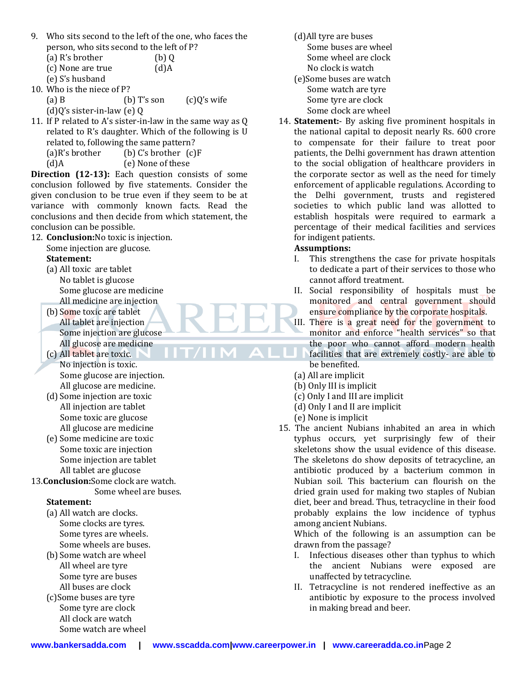- 9. Who sits second to the left of the one, who faces the person, who sits second to the left of P?
	- (a) R's brother (b) Q
	- (c) None are true (d)A
	- (e) S's husband
- 10. Who is the niece of P?
	- (a) B  $(b)$  T's son  $(c)Q'$ s wife
	- (d)Q's sister-in-law (e) Q
- 11. If P related to A's sister-in-law in the same way as Q related to R's daughter. Which of the following is U related to, following the same pattern?  $(a)$ R's brother (b) C's brother  $(c)$ F
	- (d)A (e) None of these

**Direction (12-13):** Each question consists of some conclusion followed by five statements. Consider the given conclusion to be true even if they seem to be at variance with commonly known facts. Read the conclusions and then decide from which statement, the conclusion can be possible.

- 12. **Conclusion:**No toxic is injection.
	- Some injection are glucose.

### **Statement:**

- (a) All toxic are tablet No tablet is glucose Some glucose are medicine All medicine are injection
- (b) Some toxic are tablet All tablet are injection Some injection are glucose All glucose are medicine
- (c) All tablet are toxic. No injection is toxic. Some glucose are injection. All glucose are medicine.
- (d) Some injection are toxic All injection are tablet Some toxic are glucose All glucose are medicine
- (e) Some medicine are toxic Some toxic are injection Some injection are tablet All tablet are glucose
- 13.**Conclusion:**Some clock are watch.
	- Some wheel are buses.

## **Statement:**

- (a) All watch are clocks. Some clocks are tyres. Some tyres are wheels. Some wheels are buses.
- (b) Some watch are wheel All wheel are tyre Some tyre are buses All buses are clock
- (c)Some buses are tyre Some tyre are clock All clock are watch Some watch are wheel
- (d)All tyre are buses Some buses are wheel Some wheel are clock No clock is watch (e)Some buses are watch Some watch are tyre Some tyre are clock
	- Some clock are wheel
- 14. **Statement:** By asking five prominent hospitals in the national capital to deposit nearly Rs. 600 crore to compensate for their failure to treat poor patients, the Delhi government has drawn attention to the social obligation of healthcare providers in the corporate sector as well as the need for timely enforcement of applicable regulations. According to the Delhi government, trusts and registered societies to which public land was allotted to establish hospitals were required to earmark a percentage of their medical facilities and services for indigent patients.

## **Assumptions:**

- I. This strengthens the case for private hospitals to dedicate a part of their services to those who cannot afford treatment.
- II. Social responsibility of hospitals must be monitored and central government should ensure compliance by the corporate hospitals.
- III. There is a great need for the government to monitor and enforce "health services" so that the poor who cannot afford modern health facilities that are extremely costly- are able to be benefited.
- (a) All are implicit
- (b) Only III is implicit
- (c) Only I and III are implicit
- (d) Only I and II are implicit
- (e) None is implicit
- 15. The ancient Nubians inhabited an area in which typhus occurs, yet surprisingly few of their skeletons show the usual evidence of this disease. The skeletons do show deposits of tetracycline, an antibiotic produced by a bacterium common in Nubian soil. This bacterium can flourish on the dried grain used for making two staples of Nubian diet, beer and bread. Thus, tetracycline in their food probably explains the low incidence of typhus among ancient Nubians.

Which of the following is an assumption can be drawn from the passage?

- I. Infectious diseases other than typhus to which the ancient Nubians were exposed are unaffected by tetracycline.
- II. Tetracycline is not rendered ineffective as an antibiotic by exposure to the process involved in making bread and beer.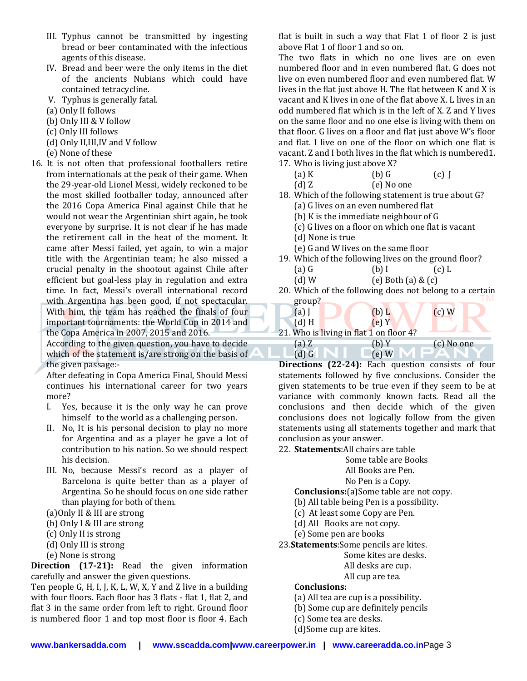- III. Typhus cannot be transmitted by ingesting bread or beer contaminated with the infectious agents of this disease.
- IV. Bread and beer were the only items in the diet of the ancients Nubians which could have contained tetracycline.
- V. Typhus is generally fatal.
- (a) Only II follows
- (b) Only III & V follow
- (c) Only III follows
- (d) Only II,III,IV and V follow
- (e) None of these
- 16. It is not often that professional footballers retire from internationals at the peak of their game. When the 29-year-old Lionel Messi, widely reckoned to be the most skilled footballer today, announced after the 2016 Copa America Final against Chile that he would not wear the Argentinian shirt again, he took everyone by surprise. It is not clear if he has made the retirement call in the heat of the moment. It came after Messi failed, yet again, to win a major title with the Argentinian team; he also missed a crucial penalty in the shootout against Chile after efficient but goal-less play in regulation and extra time. In fact, Messi's overall international record with Argentina has been good, if not spectacular. With him, the team has reached the finals of four important tournaments: the World Cup in 2014 and the Copa America in 2007, 2015 and 2016.

According to the given question, you have to decide which of the statement is/are strong on the basis of the given passage:-

After defeating in Copa America Final, Should Messi continues his international career for two years more?

- I. Yes, because it is the only way he can prove himself to the world as a challenging person.
- II. No, It is his personal decision to play no more for Argentina and as a player he gave a lot of contribution to his nation. So we should respect his decision.
- III. No, because Messi's record as a player of Barcelona is quite better than as a player of Argentina. So he should focus on one side rather than playing for both of them.
- (a)Only II & III are strong
- (b) Only I & III are strong
- (c) Only II is strong
- (d) Only III is strong
- (e) None is strong

**Direction (17-21):** Read the given information carefully and answer the given questions.

Ten people G, H, I, J, K, L, W, X, Y and Z live in a building with four floors. Each floor has 3 flats - flat 1, flat 2, and flat 3 in the same order from left to right. Ground floor is numbered floor 1 and top most floor is floor 4. Each

flat is built in such a way that Flat 1 of floor 2 is just above Flat 1 of floor 1 and so on.

The two flats in which no one lives are on even numbered floor and in even numbered flat. G does not live on even numbered floor and even numbered flat. W lives in the flat just above H. The flat between K and X is vacant and K lives in one of the flat above X. L lives in an odd numbered flat which is in the left of X. Z and Y lives on the same floor and no one else is living with them on that floor. G lives on a floor and flat just above W's floor and flat. I live on one of the floor on which one flat is vacant. Z and I both lives in the flat which is numbered1. 17. Who is living just above X?

(a) K (b) G (c) J

| $\mathfrak{c}$ $\mathfrak{c}$ | $\sim$ , $\sim$ | ╰ |
|-------------------------------|-----------------|---|
| (d)Z                          | (e) No one      |   |

- 18. Which of the following statement is true about G? (a) G lives on an even numbered flat
	- (b) K is the immediate neighbour of G
	- (c) G lives on a floor on which one flat is vacant
	- (d) None is true

- (e) G and W lives on the same floor
- 19. Which of the following lives on the ground floor? (a) G  $(b)$  I (c) L
	- (d) W  $(e)$  Both  $(a)$  &  $(c)$
- 20. Which of the following does not belong to a certain group?

| $(a)$ I | $(b)$ L                                 | $(c)$ W    |
|---------|-----------------------------------------|------------|
| $(d)$ H | (e)Y                                    |            |
|         | 21. Who is living in flat 1 on floor 4? |            |
| $(a)$ Z | (b) Y                                   | (c) No one |

(d) G  $\bigcup$  G  $\bigcup$   $\bigcup$   $\bigcup$   $\bigcup$   $\bigcup$   $\bigcup$   $\bigcup$   $\bigcup$   $\bigcup$   $\bigcup$   $\bigcup$   $\bigcup$   $\bigcup$   $\bigcup$   $\bigcup$   $\bigcup$   $\bigcup$   $\bigcup$   $\bigcup$   $\bigcup$   $\bigcup$   $\bigcup$   $\bigcup$   $\bigcup$   $\bigcup$   $\bigcup$   $\bigcup$   $\bigcup$   $\bigcup$   $\bigcup$   $\bigcup$   $\bigcup$   $\bigcup$   $\bigcup$   $\big$ **Directions (22-24):** Each question consists of four statements followed by five conclusions. Consider the given statements to be true even if they seem to be at variance with commonly known facts. Read all the conclusions and then decide which of the given conclusions does not logically follow from the given statements using all statements together and mark that conclusion as your answer.

22. **Statements**:All chairs are table

Some table are Books

All Books are Pen.

No Pen is a Copy.

**Conclusions:**(a)Some table are not copy.

- (b) All table being Pen is a possibility.
- (c) At least some Copy are Pen.
- (d) All Books are not copy.
- (e) Some pen are books
- 23.**Statements**:Some pencils are kites.

Some kites are desks.

All desks are cup.

All cup are tea.

### **Conclusions:**

- (a) All tea are cup is a possibility.
- (b) Some cup are definitely pencils
- (c) Some tea are desks.
- (d)Some cup are kites.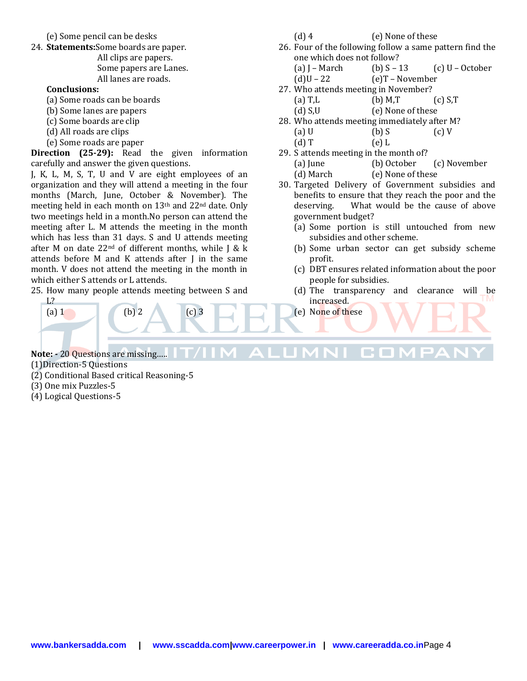(e) Some pencil can be desks

24. **Statements:**Some boards are paper. All clips are papers. Some papers are Lanes. All lanes are roads.

#### **Conclusions:**

- (a) Some roads can be boards
- (b) Some lanes are papers
- (c) Some boards are clip
- (d) All roads are clips
- (e) Some roads are paper

**Direction (25-29):** Read the given information carefully and answer the given questions.

J, K, L, M, S, T, U and V are eight employees of an organization and they will attend a meeting in the four months (March, June, October & November). The meeting held in each month on 13th and 22nd date. Only two meetings held in a month.No person can attend the meeting after L. M attends the meeting in the month which has less than 31 days. S and U attends meeting after M on date  $22<sup>nd</sup>$  of different months, while J & k attends before M and K attends after J in the same month. V does not attend the meeting in the month in which either S attends or L attends.

25. How many people attends meeting between S and L?

(a) 1 (b) 2 (c) 3

- (d) 4 (e) None of these
- 26. Four of the following follow a same pattern find the one which does not follow?
	- (a) J March (b)  $S 13$  (c) U October
	- $(d)U 22$  (e)T November
- 27. Who attends meeting in November?
	- (a)  $T,L$  (b)  $M,T$  (c)  $S,T$
	- (d) S,U (e) None of these
- 28. Who attends meeting immediately after M? (a) U (b) S (c) V
	- $(d) T$   $(e) L$
- 29. S attends meeting in the month of? (a) June (b) October (c) November (d) March (e) None of these
- 30. Targeted Delivery of Government subsidies and benefits to ensure that they reach the poor and the deserving. What would be the cause of above government budget?
	- (a) Some portion is still untouched from new subsidies and other scheme.
	- (b) Some urban sector can get subsidy scheme profit.
	- (c) DBT ensures related information about the poor people for subsidies.
	- (d) The transparency and clearance will be increased.
	- (e) None of these

Note: - 20 Questions are missing.....! **IT/IIM ALUMNI COMPAN** 

(1)Direction-5 Questions

- (2) Conditional Based critical Reasoning-5
- (3) One mix Puzzles-5
- (4) Logical Questions-5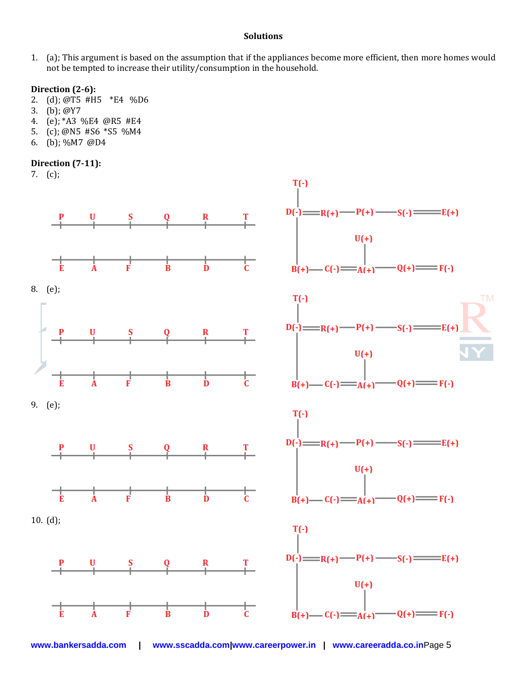#### **Solutions**

1. (a); This argument is based on the assumption that if the appliances become more efficient, then more homes would not be tempted to increase their utility/consumption in the household.

### **Direction (2-6):**

- 2. (d); @T5 #H5 \*E4 %D6
- 3. (b); @Y7
- 4. (e); \*A3 %E4 @R5 #E4
- 5. (c); @N5 #S6 \*S5 %M4
- 6. (b); %M7 @D4

### **Direction (7-11):**

7. (c);



**www.bankersadda.com | www.sscadda.com|www.careerpower.in | www.careeradda.co.in**Page 5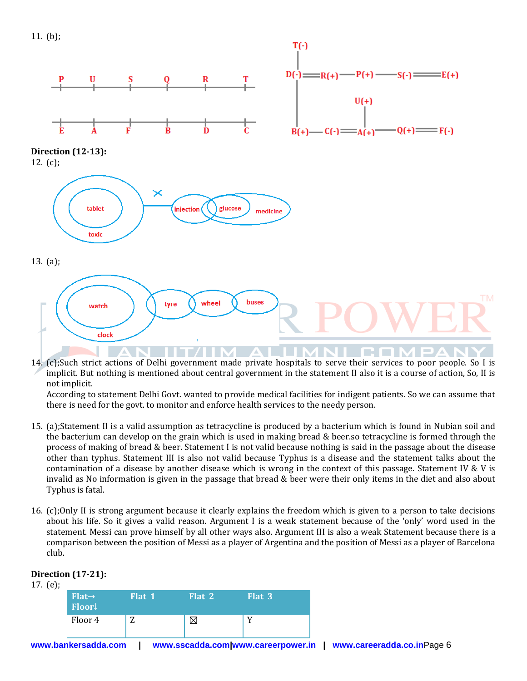



14. (c);Such strict actions of Delhi government made private hospitals to serve their services to poor people. So I is implicit. But nothing is mentioned about central government in the statement II also it is a course of action, So, II is not implicit.

According to statement Delhi Govt. wanted to provide medical facilities for indigent patients. So we can assume that there is need for the govt. to monitor and enforce health services to the needy person.

- 15. (a);Statement II is a valid assumption as tetracycline is produced by a bacterium which is found in Nubian soil and the bacterium can develop on the grain which is used in making bread & beer.so tetracycline is formed through the process of making of bread & beer. Statement I is not valid because nothing is said in the passage about the disease other than typhus. Statement III is also not valid because Typhus is a disease and the statement talks about the contamination of a disease by another disease which is wrong in the context of this passage. Statement IV & V is invalid as No information is given in the passage that bread & beer were their only items in the diet and also about Typhus is fatal.
- 16. (c);Only II is strong argument because it clearly explains the freedom which is given to a person to take decisions about his life. So it gives a valid reason. Argument I is a weak statement because of the 'only' word used in the statement. Messi can prove himself by all other ways also. Argument III is also a weak Statement because there is a comparison between the position of Messi as a player of Argentina and the position of Messi as a player of Barcelona club.

## **www.bankersadda.com | www.sscadda.com|www.careerpower.in | www.careeradda.co.in**Page 6 17. (e); **Flat→ Floor**↓ **Flat 1 Flat 2 Flat 3** Floor 4  $\boxed{Z}$   $\boxed{X}$   $\boxed{Y}$

## **Direction (17-21):**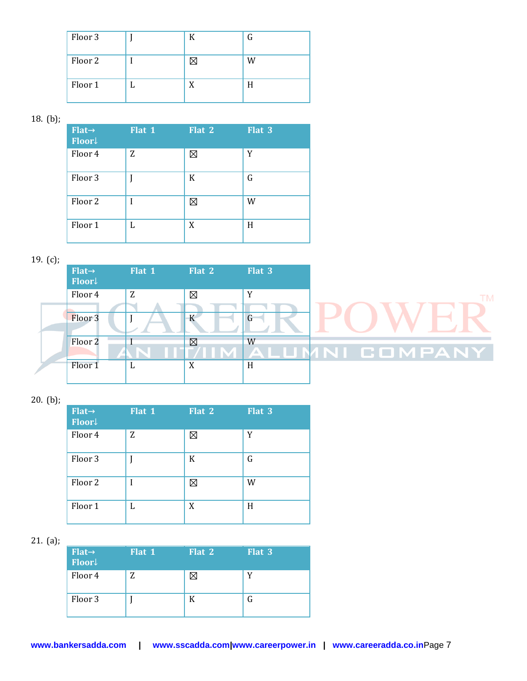| Floor 3 | К | G |
|---------|---|---|
| Floor 2 |   | W |
| Floor 1 | X | H |

18. (b);

| $Flat \rightarrow$<br>Floor | Flat 1 | Flat 2 | Flat 3 |
|-----------------------------|--------|--------|--------|
| Floor 4                     | Z      | ⊠      | Y      |
| Floor 3                     |        | K      | G      |
| Floor <sub>2</sub>          |        | ⊠      | W      |
| Floor 1                     | L      | X      | H      |

19. (c);

| - - · (- <i>)</i> |                             |        |             |        |                |  |
|-------------------|-----------------------------|--------|-------------|--------|----------------|--|
|                   | $Flat \rightarrow$<br>Floor | Flat 1 | Flat 2      | Flat 3 |                |  |
|                   | Floor 4                     | Z      | ⊠           | v      |                |  |
|                   | Floor <sub>3</sub>          |        |             |        |                |  |
|                   | Floor 2                     |        | $\boxtimes$ | W      | ALUMNI COMPANY |  |
|                   | Floor 1                     | ப      | X           | H      |                |  |

20. (b);

| $Flat \rightarrow$<br>Floor | Flat 1 | Flat 2 | Flat 3 |
|-----------------------------|--------|--------|--------|
| Floor 4                     | Z      | ⊠      | Y      |
| Floor <sub>3</sub>          |        | K      | G      |
| Floor <sub>2</sub>          | I      | ⊠      | W      |
| Floor 1                     | L      | X      | H      |

21. (a);

| $Flat \rightarrow$<br>Floor | Flat 1 | Flat 2 | Flat 3 |
|-----------------------------|--------|--------|--------|
| Floor 4                     | Z      |        |        |
| Floor 3                     |        | К      |        |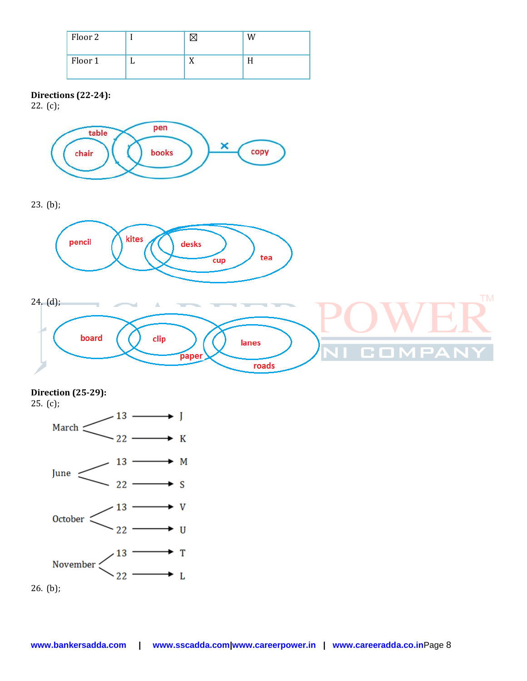| Floor 2 |   | W |
|---------|---|---|
| Floor 1 | - |   |

### **Directions (22-24):**

22. (c);



23. (b);





# **Direction (25-29):**

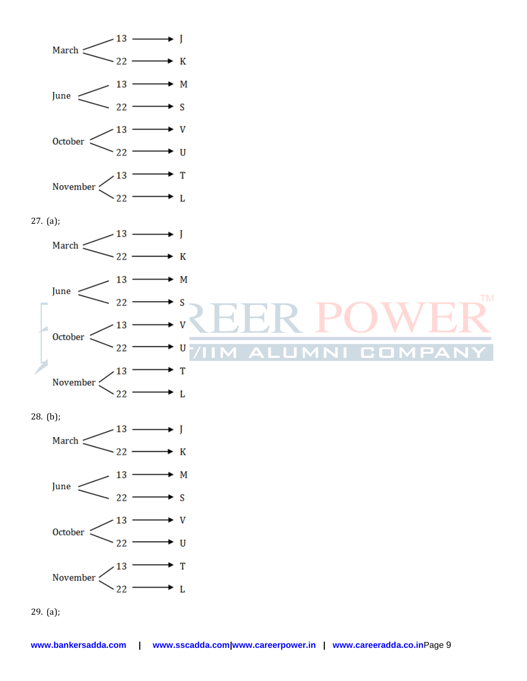